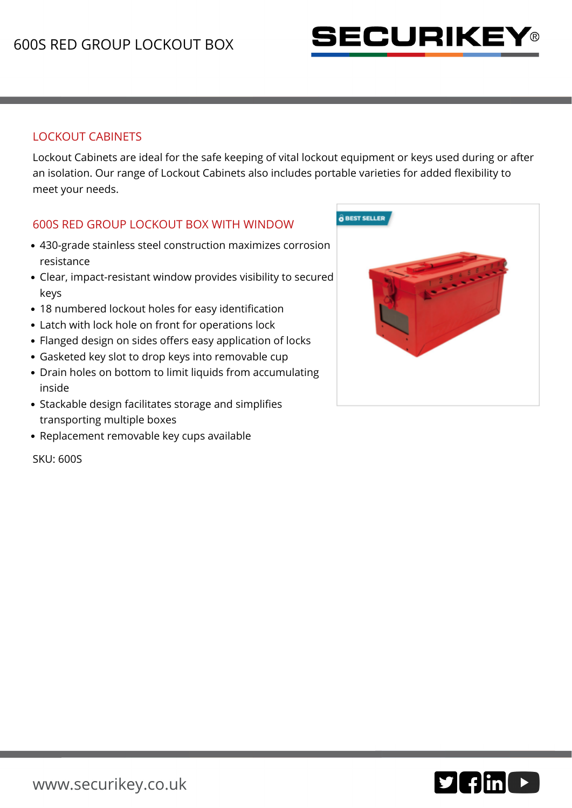

## LOCKOUT CABINETS

Lockout Cabinets are ideal for the safe keeping of vital lockout equipment or keys used during or after an isolation. Our range of Lockout Cabinets also includes portable varieties for added flexibility to meet your needs.

## 600S RED GROUP LOCKOUT BOX WITH WINDOW

- 430-grade stainless steel construction maximizes corrosion resistance
- Clear, impact-resistant window provides visibility to secured keys
- 18 numbered lockout holes for easy identification
- Latch with lock hole on front for operations lock
- Flanged design on sides offers easy application of locks
- Gasketed key slot to drop keys into removable cup
- Drain holes on bottom to limit liquids from accumulating inside
- Stackable design facilitates storage and simplifies transporting multiple boxes
- Replacement removable key cups available

SKU: 600S



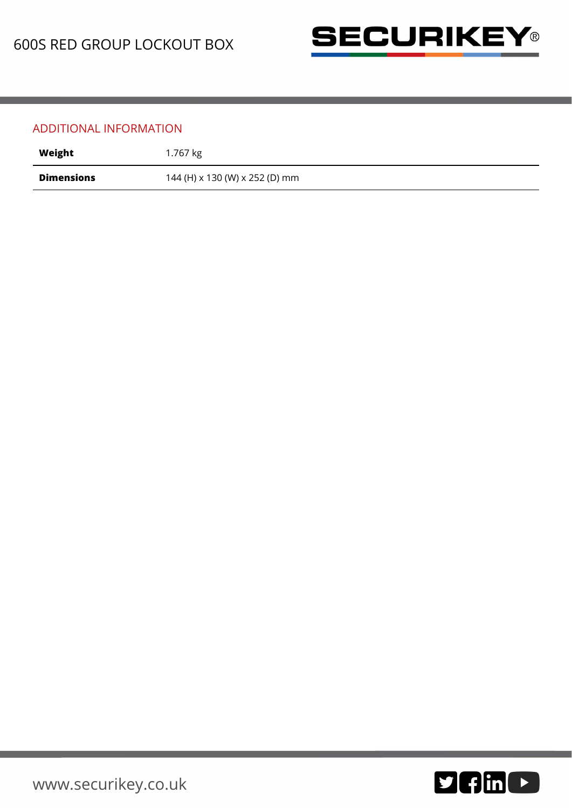

## ADDITIONAL INFORMATION

| Weight            | 1.767 kg                       |
|-------------------|--------------------------------|
| <b>Dimensions</b> | 144 (H) x 130 (W) x 252 (D) mm |